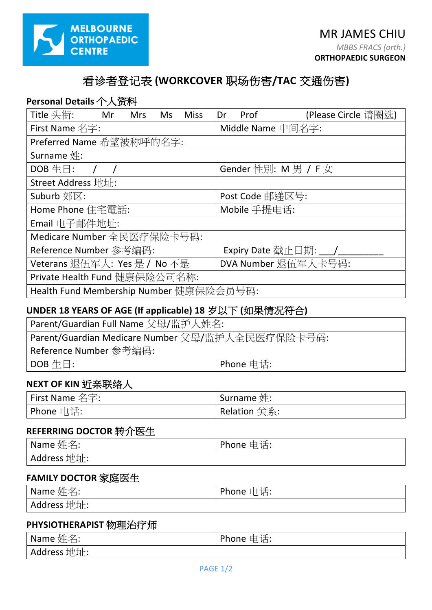

# 看诊者登记表 **(WORKCOVER** 职场伤害**/TAC** 交通伤害**)**

| Personal Details 个人资料                   |    |            |     |                             |    |                   |                     |  |
|-----------------------------------------|----|------------|-----|-----------------------------|----|-------------------|---------------------|--|
| Title 头衔:                               | Mr | <b>Mrs</b> | Ms. | <b>Miss</b>                 | Dr | Prof              | (Please Circle 请圈选) |  |
| First Name 名字:                          |    |            |     |                             |    | Middle Name 中间名字: |                     |  |
| Preferred Name 希望被称呼的名字:                |    |            |     |                             |    |                   |                     |  |
| Surname $#$ :                           |    |            |     |                             |    |                   |                     |  |
| $DOB \ntriangleq \Box$ :                |    |            |     | Gender 性別: $M \ncong / F$ 女 |    |                   |                     |  |
| Street Address 地址:                      |    |            |     |                             |    |                   |                     |  |
| Suburb 郊区:                              |    |            |     |                             |    | Post Code 邮递区号:   |                     |  |
| Home Phone 住宅電話:                        |    |            |     | Mobile 手提电话:                |    |                   |                     |  |
| Email 电子邮件地址:                           |    |            |     |                             |    |                   |                     |  |
| Medicare Number 全民医疗保险卡号码:              |    |            |     |                             |    |                   |                     |  |
| Reference Number 参考编码:                  |    |            |     | Expiry Date 截止日期: ___ /     |    |                   |                     |  |
| Veterans 退伍军人: Yes 是 / No 不是            |    |            |     | DVA Number 退伍军人卡号码:         |    |                   |                     |  |
| Private Health Fund 健康保险公司名称:           |    |            |     |                             |    |                   |                     |  |
| Health Fund Membership Number 健康保险会员号码: |    |            |     |                             |    |                   |                     |  |
|                                         |    |            |     |                             |    |                   |                     |  |

### **UNDER 18 YEARS OF AGE (If applicable) 18** 岁以下 **(**如果情况符合**)**

| Parent/Guardian Full Name 父母/监护人姓名:              |  |  |  |
|--------------------------------------------------|--|--|--|
| Parent/Guardian Medicare Number 父母/监护人全民医疗保险卡号码: |  |  |  |
| ' Reference Number 参考编码:                         |  |  |  |
| $\vert$ DOB $\pm \boxdot$ :<br>I Phone 电话:       |  |  |  |

### **NEXT OF KIN** 近亲联络人

| First Name 名字: | Surname $\#$ : |
|----------------|----------------|
| ' Phone 电话: l  | Relation 关系:   |

# **REFERRING DOCTOR** 转介医生

| $\vert$ Name 姓名: | ' Phone 电话: |
|------------------|-------------|
| Address 地址:      |             |

# **FAMILY DOCTOR** 家庭医生

| Name 姓名:    | Phone 电话: |
|-------------|-----------|
| Address 地址: |           |

### **PHYSIOTHERAPIST** 物理治疗师

| Name $\nleq \nleq$ : | Phone 电话: |
|----------------------|-----------|
| Address 地址:          |           |